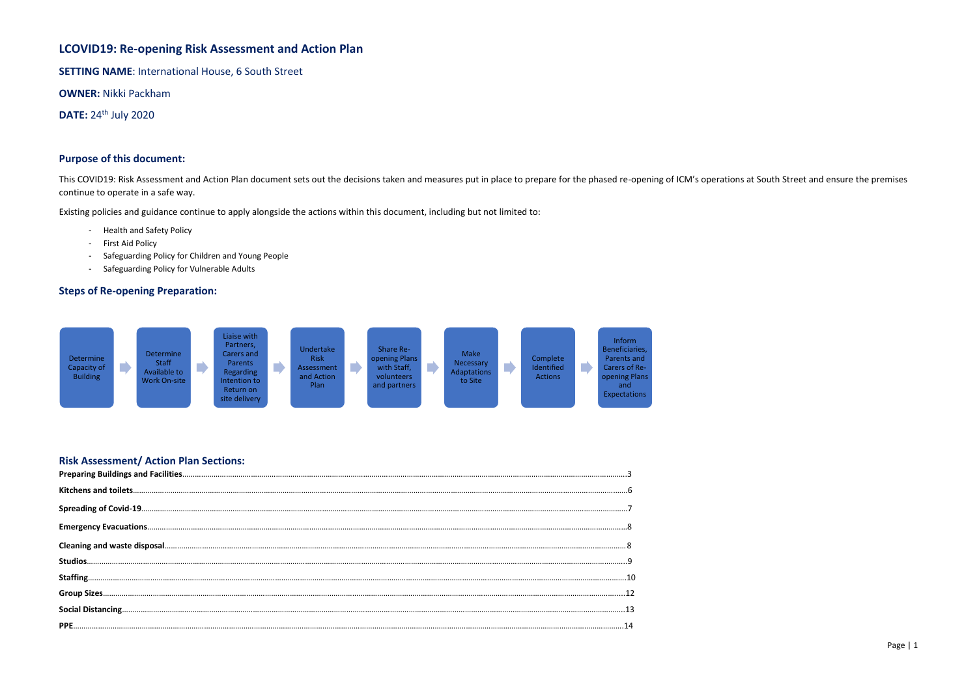## **LCOVID19: Re-opening Risk Assessment and Action Plan**

**SETTING NAME**: International House, 6 South Street

**OWNER:** Nikki Packham

**DATE: 24<sup>th</sup> July 2020** 

## **Purpose of this document:**

This COVID19: Risk Assessment and Action Plan document sets out the decisions taken and measures put in place to prepare for the phased re-opening of ICM's operations at South Street and ensure the premises continue to operate in a safe way.

Existing policies and guidance continue to apply alongside the actions within this document, including but not limited to:

- Health and Safety Policy
- First Aid Policy
- Safeguarding Policy for Children and Young People
- Safeguarding Policy for Vulnerable Adults

## **Steps of Re-opening Preparation:**

## **Risk Assessment/ Action Plan Sections:**

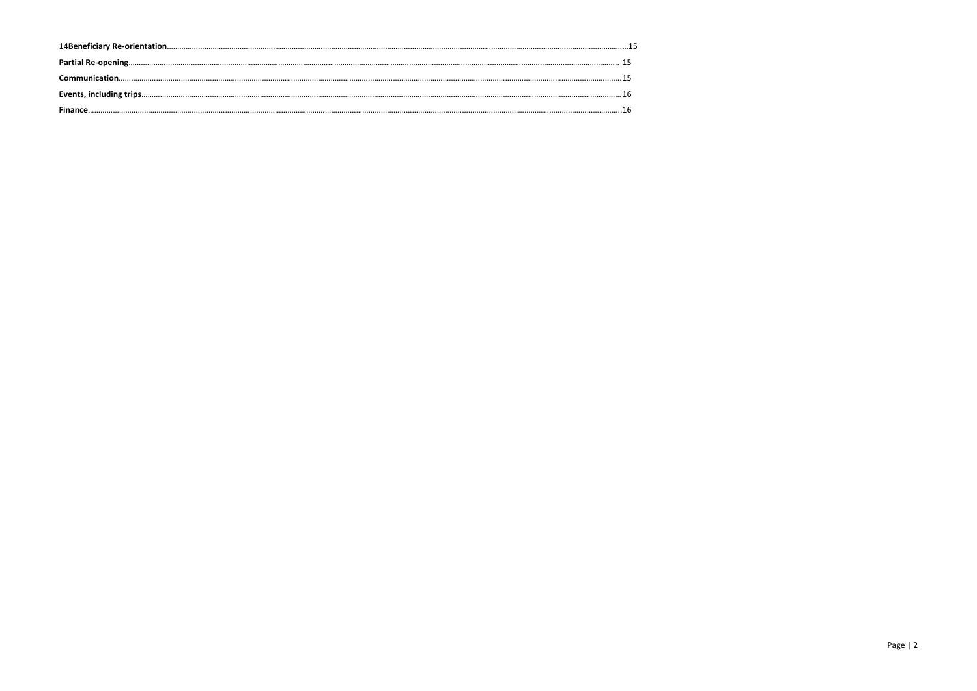| Communication. |  |
|----------------|--|
|                |  |
|                |  |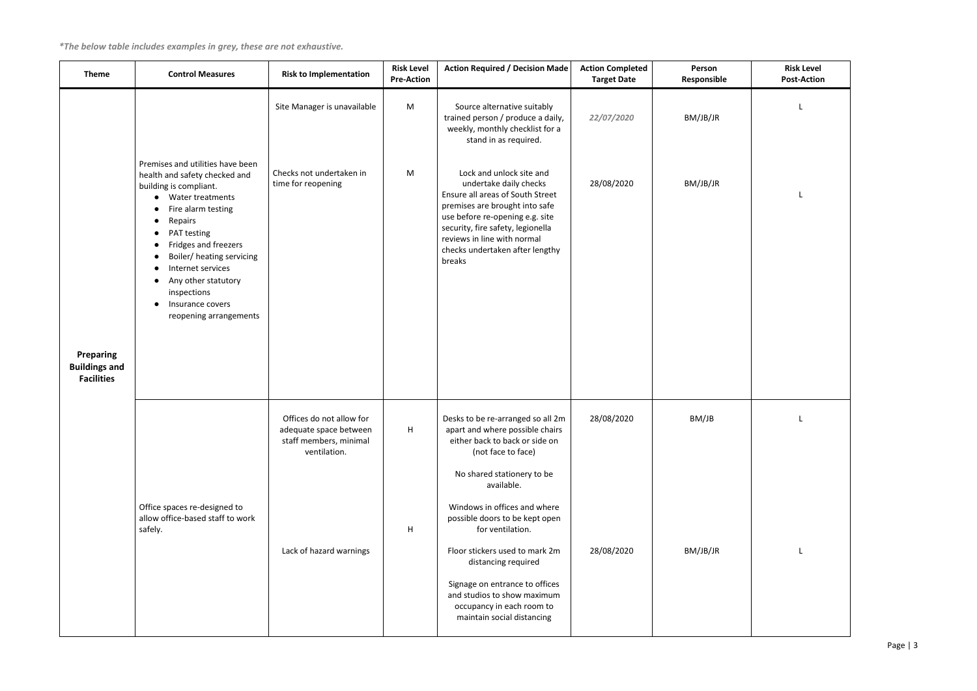*\*The below table includes examples in grey, these are not exhaustive.*

<span id="page-2-0"></span>

| <b>Theme</b>                                           | <b>Control Measures</b>                                                                                                                                                                                                                                                                                                       | <b>Risk to Implementation</b>                                                                | <b>Risk Level</b><br><b>Pre-Action</b> | <b>Action Required / Decision Made</b>                                                                                                                                                                                                                                       | <b>Action Completed</b><br><b>Target Date</b> | Person<br>Responsible |
|--------------------------------------------------------|-------------------------------------------------------------------------------------------------------------------------------------------------------------------------------------------------------------------------------------------------------------------------------------------------------------------------------|----------------------------------------------------------------------------------------------|----------------------------------------|------------------------------------------------------------------------------------------------------------------------------------------------------------------------------------------------------------------------------------------------------------------------------|-----------------------------------------------|-----------------------|
|                                                        |                                                                                                                                                                                                                                                                                                                               | Site Manager is unavailable                                                                  | M                                      | Source alternative suitably<br>trained person / produce a daily,<br>weekly, monthly checklist for a<br>stand in as required.                                                                                                                                                 | 22/07/2020                                    | BM/JB/JR              |
| Preparing<br><b>Buildings and</b><br><b>Facilities</b> | Premises and utilities have been<br>health and safety checked and<br>building is compliant.<br>Water treatments<br>Fire alarm testing<br>Repairs<br>PAT testing<br>Fridges and freezers<br>Boiler/ heating servicing<br>Internet services<br>Any other statutory<br>inspections<br>Insurance covers<br>reopening arrangements | Checks not undertaken in<br>time for reopening                                               | M                                      | Lock and unlock site and<br>undertake daily checks<br>Ensure all areas of South Street<br>premises are brought into safe<br>use before re-opening e.g. site<br>security, fire safety, legionella<br>reviews in line with normal<br>checks undertaken after lengthy<br>breaks | 28/08/2020                                    | BM/JB/JR              |
|                                                        |                                                                                                                                                                                                                                                                                                                               | Offices do not allow for<br>adequate space between<br>staff members, minimal<br>ventilation. | H                                      | Desks to be re-arranged so all 2m<br>apart and where possible chairs<br>either back to back or side on<br>(not face to face)                                                                                                                                                 | 28/08/2020                                    | BM/JB                 |
|                                                        |                                                                                                                                                                                                                                                                                                                               |                                                                                              |                                        | No shared stationery to be<br>available.                                                                                                                                                                                                                                     |                                               |                       |
|                                                        | Office spaces re-designed to<br>allow office-based staff to work<br>safely.                                                                                                                                                                                                                                                   |                                                                                              | H                                      | Windows in offices and where<br>possible doors to be kept open<br>for ventilation.                                                                                                                                                                                           |                                               |                       |
|                                                        |                                                                                                                                                                                                                                                                                                                               | Lack of hazard warnings                                                                      |                                        | Floor stickers used to mark 2m<br>distancing required                                                                                                                                                                                                                        | 28/08/2020                                    | BM/JB/JR              |
|                                                        |                                                                                                                                                                                                                                                                                                                               |                                                                                              |                                        | Signage on entrance to offices<br>and studios to show maximum<br>occupancy in each room to<br>maintain social distancing                                                                                                                                                     |                                               |                       |

| ıle | <b>Risk Level</b><br><b>Post-Action</b> |
|-----|-----------------------------------------|
|     | L                                       |
|     |                                         |
|     | L                                       |
|     |                                         |
|     |                                         |
|     |                                         |
|     |                                         |
|     |                                         |
|     | L                                       |
|     |                                         |
|     |                                         |
|     | L                                       |
|     |                                         |
|     |                                         |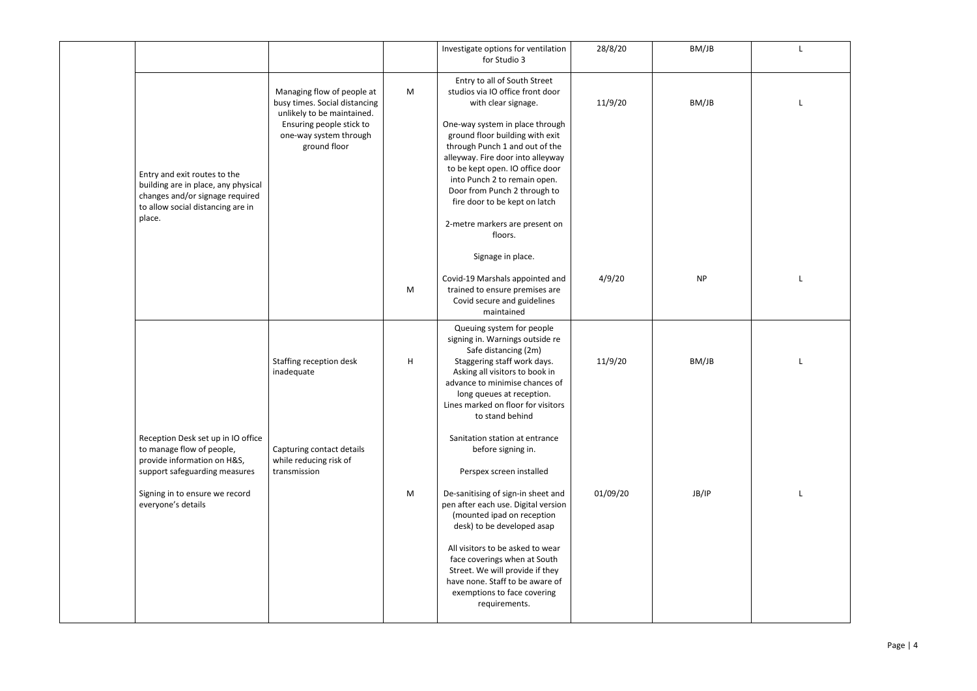|                                                                                                                                                       |                                                                                                                                                                 |   | Investigate options for ventilation<br>for Studio 3                                                                                                                                                                                                                                                                                                                                                                   | 28/8/20  | BM/JB     |
|-------------------------------------------------------------------------------------------------------------------------------------------------------|-----------------------------------------------------------------------------------------------------------------------------------------------------------------|---|-----------------------------------------------------------------------------------------------------------------------------------------------------------------------------------------------------------------------------------------------------------------------------------------------------------------------------------------------------------------------------------------------------------------------|----------|-----------|
| Entry and exit routes to the<br>building are in place, any physical<br>changes and/or signage required<br>to allow social distancing are in<br>place. | Managing flow of people at<br>busy times. Social distancing<br>unlikely to be maintained.<br>Ensuring people stick to<br>one-way system through<br>ground floor | M | Entry to all of South Street<br>studios via IO office front door<br>with clear signage.<br>One-way system in place through<br>ground floor building with exit<br>through Punch 1 and out of the<br>alleyway. Fire door into alleyway<br>to be kept open. IO office door<br>into Punch 2 to remain open.<br>Door from Punch 2 through to<br>fire door to be kept on latch<br>2-metre markers are present on<br>floors. | 11/9/20  | BM/JB     |
|                                                                                                                                                       |                                                                                                                                                                 | M | Signage in place.<br>Covid-19 Marshals appointed and<br>trained to ensure premises are<br>Covid secure and guidelines<br>maintained                                                                                                                                                                                                                                                                                   | 4/9/20   | <b>NP</b> |
|                                                                                                                                                       | Staffing reception desk<br>inadequate                                                                                                                           | H | Queuing system for people<br>signing in. Warnings outside re<br>Safe distancing (2m)<br>Staggering staff work days.<br>Asking all visitors to book in<br>advance to minimise chances of<br>long queues at reception.<br>Lines marked on floor for visitors<br>to stand behind                                                                                                                                         | 11/9/20  | BM/JB     |
| Reception Desk set up in IO office<br>to manage flow of people,<br>provide information on H&S,<br>support safeguarding measures                       | Capturing contact details<br>while reducing risk of<br>transmission                                                                                             |   | Sanitation station at entrance<br>before signing in.<br>Perspex screen installed                                                                                                                                                                                                                                                                                                                                      |          |           |
| Signing in to ensure we record<br>everyone's details                                                                                                  |                                                                                                                                                                 | M | De-sanitising of sign-in sheet and<br>pen after each use. Digital version<br>(mounted ipad on reception<br>desk) to be developed asap<br>All visitors to be asked to wear<br>face coverings when at South<br>Street. We will provide if they<br>have none. Staff to be aware of<br>exemptions to face covering                                                                                                        | 01/09/20 | JB/IP     |
|                                                                                                                                                       |                                                                                                                                                                 |   | requirements.                                                                                                                                                                                                                                                                                                                                                                                                         |          |           |

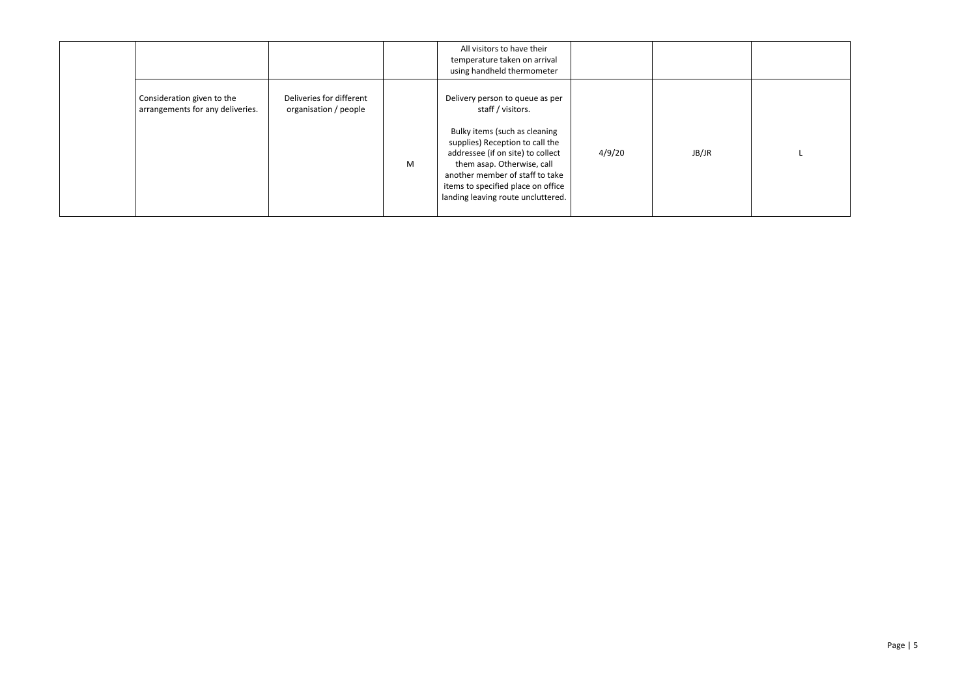|                                                                |                                                   |   | All visitors to have their<br>temperature taken on arrival<br>using handheld thermometer                                                                                                                                                           |        |       |  |
|----------------------------------------------------------------|---------------------------------------------------|---|----------------------------------------------------------------------------------------------------------------------------------------------------------------------------------------------------------------------------------------------------|--------|-------|--|
| Consideration given to the<br>arrangements for any deliveries. | Deliveries for different<br>organisation / people |   | Delivery person to queue as per<br>staff / visitors.                                                                                                                                                                                               |        |       |  |
|                                                                |                                                   | M | Bulky items (such as cleaning<br>supplies) Reception to call the<br>addressee (if on site) to collect<br>them asap. Otherwise, call<br>another member of staff to take<br>items to specified place on office<br>landing leaving route uncluttered. | 4/9/20 | JB/JR |  |
|                                                                |                                                   |   |                                                                                                                                                                                                                                                    |        |       |  |

| L |  |
|---|--|
|   |  |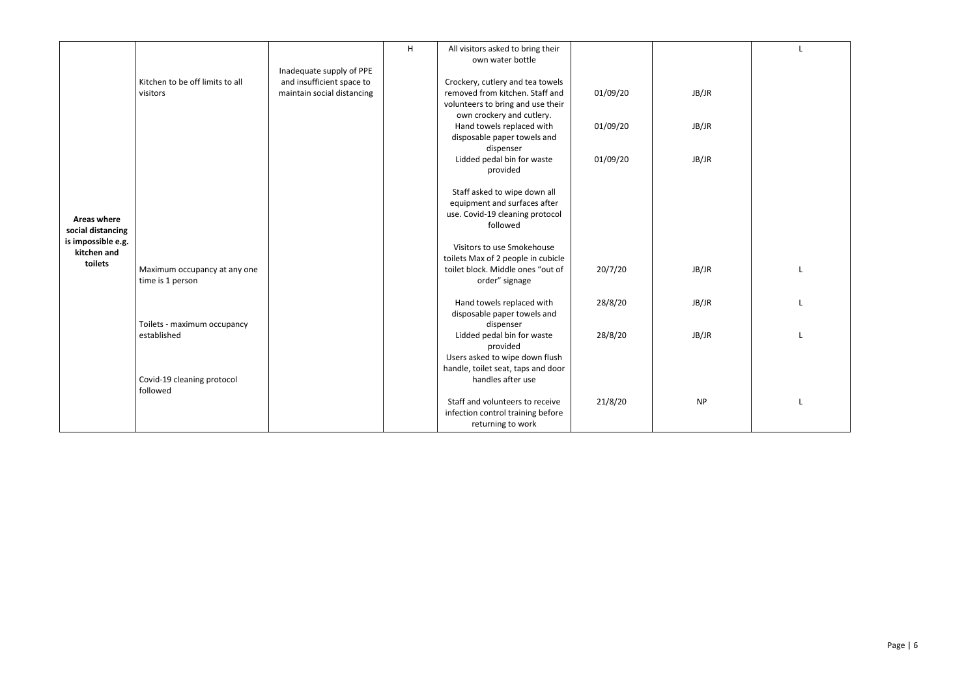|                    |                                 |                            | H | All visitors asked to bring their<br>own water bottle |          |           |
|--------------------|---------------------------------|----------------------------|---|-------------------------------------------------------|----------|-----------|
|                    |                                 | Inadequate supply of PPE   |   |                                                       |          |           |
|                    | Kitchen to be off limits to all | and insufficient space to  |   | Crockery, cutlery and tea towels                      |          |           |
|                    | visitors                        | maintain social distancing |   | removed from kitchen. Staff and                       | 01/09/20 | JB/JR     |
|                    |                                 |                            |   | volunteers to bring and use their                     |          |           |
|                    |                                 |                            |   | own crockery and cutlery.                             |          |           |
|                    |                                 |                            |   | Hand towels replaced with                             | 01/09/20 | JB/JR     |
|                    |                                 |                            |   | disposable paper towels and                           |          |           |
|                    |                                 |                            |   | dispenser                                             |          |           |
|                    |                                 |                            |   | Lidded pedal bin for waste                            | 01/09/20 | JB/JR     |
|                    |                                 |                            |   | provided                                              |          |           |
|                    |                                 |                            |   | Staff asked to wipe down all                          |          |           |
|                    |                                 |                            |   | equipment and surfaces after                          |          |           |
| <b>Areas where</b> |                                 |                            |   | use. Covid-19 cleaning protocol                       |          |           |
| social distancing  |                                 |                            |   | followed                                              |          |           |
| is impossible e.g. |                                 |                            |   |                                                       |          |           |
| kitchen and        |                                 |                            |   | Visitors to use Smokehouse                            |          |           |
| toilets            |                                 |                            |   | toilets Max of 2 people in cubicle                    |          |           |
|                    | Maximum occupancy at any one    |                            |   | toilet block. Middle ones "out of                     | 20/7/20  | JB/JR     |
|                    | time is 1 person                |                            |   | order" signage                                        |          |           |
|                    |                                 |                            |   | Hand towels replaced with                             | 28/8/20  | JB/JR     |
|                    |                                 |                            |   | disposable paper towels and                           |          |           |
|                    | Toilets - maximum occupancy     |                            |   | dispenser                                             |          |           |
|                    | established                     |                            |   | Lidded pedal bin for waste                            | 28/8/20  | JB/JR     |
|                    |                                 |                            |   | provided                                              |          |           |
|                    |                                 |                            |   | Users asked to wipe down flush                        |          |           |
|                    |                                 |                            |   | handle, toilet seat, taps and door                    |          |           |
|                    | Covid-19 cleaning protocol      |                            |   | handles after use                                     |          |           |
|                    | followed                        |                            |   |                                                       |          |           |
|                    |                                 |                            |   | Staff and volunteers to receive                       | 21/8/20  | <b>NP</b> |
|                    |                                 |                            |   | infection control training before                     |          |           |
|                    |                                 |                            |   | returning to work                                     |          |           |

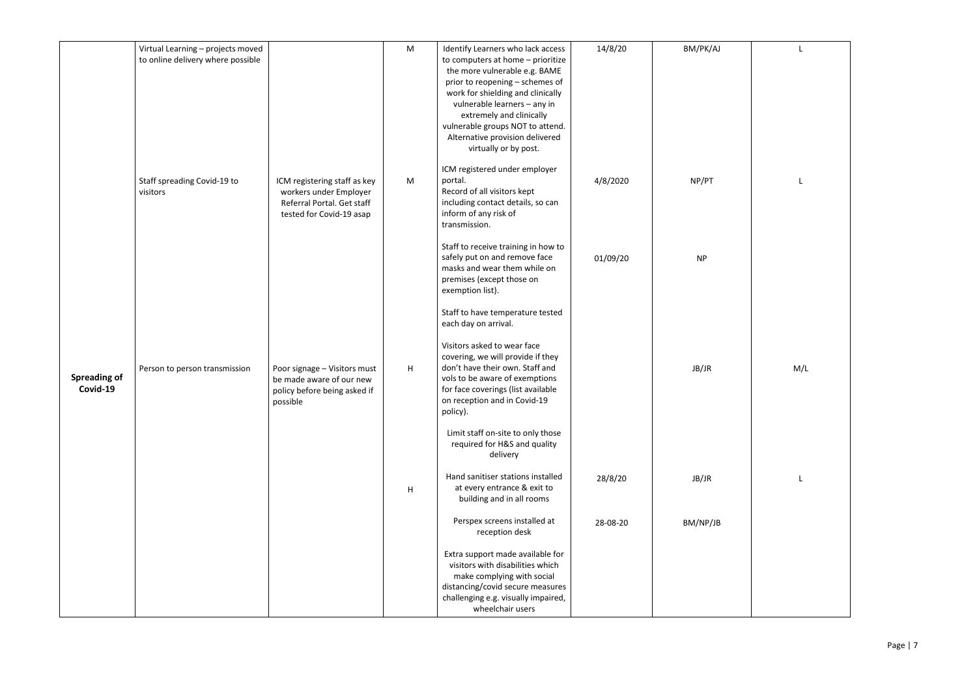|                                 | Virtual Learning - projects moved<br>to online delivery where possible |                                                                                                                  | M | Identify Learners who lack access<br>to computers at home - prioritize<br>the more vulnerable e.g. BAME<br>prior to reopening - schemes of<br>work for shielding and clinically<br>vulnerable learners - any in<br>extremely and clinically<br>vulnerable groups NOT to attend.<br>Alternative provision delivered<br>virtually or by post. | 14/8/20  | BM/PK/AJ  |
|---------------------------------|------------------------------------------------------------------------|------------------------------------------------------------------------------------------------------------------|---|---------------------------------------------------------------------------------------------------------------------------------------------------------------------------------------------------------------------------------------------------------------------------------------------------------------------------------------------|----------|-----------|
|                                 | Staff spreading Covid-19 to<br>visitors                                | ICM registering staff as key<br>workers under Employer<br>Referral Portal. Get staff<br>tested for Covid-19 asap | M | ICM registered under employer<br>portal.<br>Record of all visitors kept<br>including contact details, so can<br>inform of any risk of<br>transmission.                                                                                                                                                                                      | 4/8/2020 | NP/PT     |
|                                 |                                                                        |                                                                                                                  |   | Staff to receive training in how to<br>safely put on and remove face<br>masks and wear them while on<br>premises (except those on<br>exemption list).                                                                                                                                                                                       | 01/09/20 | <b>NP</b> |
|                                 |                                                                        |                                                                                                                  |   | Staff to have temperature tested<br>each day on arrival.                                                                                                                                                                                                                                                                                    |          |           |
| <b>Spreading of</b><br>Covid-19 | Person to person transmission                                          | Poor signage - Visitors must<br>be made aware of our new<br>policy before being asked if<br>possible             | H | Visitors asked to wear face<br>covering, we will provide if they<br>don't have their own. Staff and<br>vols to be aware of exemptions<br>for face coverings (list available<br>on reception and in Covid-19<br>policy).                                                                                                                     |          | JB/JR     |
|                                 |                                                                        |                                                                                                                  |   | Limit staff on-site to only those<br>required for H&S and quality<br>delivery                                                                                                                                                                                                                                                               |          |           |
|                                 |                                                                        |                                                                                                                  | H | Hand sanitiser stations installed<br>at every entrance & exit to<br>building and in all rooms                                                                                                                                                                                                                                               | 28/8/20  | JB/JR     |
|                                 |                                                                        |                                                                                                                  |   | Perspex screens installed at<br>reception desk                                                                                                                                                                                                                                                                                              | 28-08-20 | BM/NP/JB  |
|                                 |                                                                        |                                                                                                                  |   | Extra support made available for<br>visitors with disabilities which<br>make complying with social<br>distancing/covid secure measures<br>challenging e.g. visually impaired,<br>wheelchair users                                                                                                                                           |          |           |

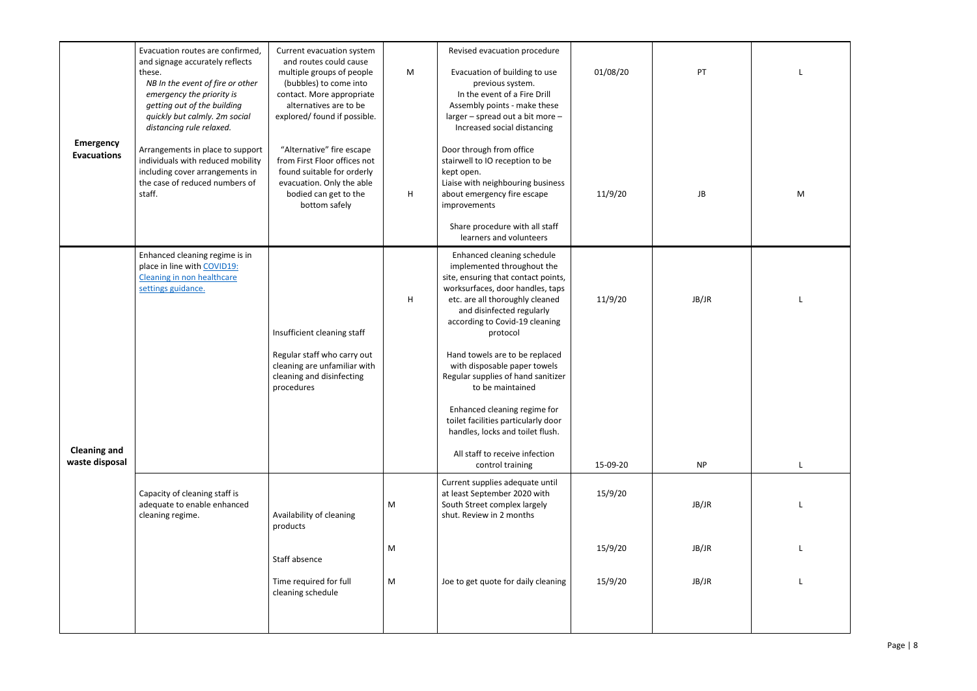<span id="page-7-0"></span>

| <b>Emergency</b><br><b>Evacuations</b> | Evacuation routes are confirmed,<br>and signage accurately reflects<br>these.<br>NB In the event of fire or other<br>emergency the priority is<br>getting out of the building<br>quickly but calmly. 2m social<br>distancing rule relaxed.<br>Arrangements in place to support<br>individuals with reduced mobility<br>including cover arrangements in<br>the case of reduced numbers of<br>staff. | Current evacuation system<br>and routes could cause<br>multiple groups of people<br>(bubbles) to come into<br>contact. More appropriate<br>alternatives are to be<br>explored/ found if possible.<br>"Alternative" fire escape<br>from First Floor offices not<br>found suitable for orderly<br>evacuation. Only the able<br>bodied can get to the<br>bottom safely | M<br>H | Revised evacuation procedure<br>Evacuation of building to use<br>previous system.<br>In the event of a Fire Drill<br>Assembly points - make these<br>larger - spread out a bit more -<br>Increased social distancing<br>Door through from office<br>stairwell to IO reception to be<br>kept open.<br>Liaise with neighbouring business<br>about emergency fire escape<br>improvements<br>Share procedure with all staff<br>learners and volunteers                                                                                             | 01/08/20<br>11/9/20 | PT<br>JB           |
|----------------------------------------|----------------------------------------------------------------------------------------------------------------------------------------------------------------------------------------------------------------------------------------------------------------------------------------------------------------------------------------------------------------------------------------------------|---------------------------------------------------------------------------------------------------------------------------------------------------------------------------------------------------------------------------------------------------------------------------------------------------------------------------------------------------------------------|--------|------------------------------------------------------------------------------------------------------------------------------------------------------------------------------------------------------------------------------------------------------------------------------------------------------------------------------------------------------------------------------------------------------------------------------------------------------------------------------------------------------------------------------------------------|---------------------|--------------------|
| <b>Cleaning and</b><br>waste disposal  | Enhanced cleaning regime is in<br>place in line with COVID19:<br>Cleaning in non healthcare<br>settings guidance.                                                                                                                                                                                                                                                                                  | Insufficient cleaning staff<br>Regular staff who carry out<br>cleaning are unfamiliar with<br>cleaning and disinfecting<br>procedures                                                                                                                                                                                                                               | H      | Enhanced cleaning schedule<br>implemented throughout the<br>site, ensuring that contact points,<br>worksurfaces, door handles, taps<br>etc. are all thoroughly cleaned<br>and disinfected regularly<br>according to Covid-19 cleaning<br>protocol<br>Hand towels are to be replaced<br>with disposable paper towels<br>Regular supplies of hand sanitizer<br>to be maintained<br>Enhanced cleaning regime for<br>toilet facilities particularly door<br>handles, locks and toilet flush.<br>All staff to receive infection<br>control training | 11/9/20<br>15-09-20 | JB/JR<br><b>NP</b> |
|                                        | Capacity of cleaning staff is<br>adequate to enable enhanced<br>cleaning regime.                                                                                                                                                                                                                                                                                                                   | Availability of cleaning<br>products                                                                                                                                                                                                                                                                                                                                | M      | Current supplies adequate until<br>at least September 2020 with<br>South Street complex largely<br>shut. Review in 2 months                                                                                                                                                                                                                                                                                                                                                                                                                    | 15/9/20             | JB/JR              |
|                                        |                                                                                                                                                                                                                                                                                                                                                                                                    | Staff absence                                                                                                                                                                                                                                                                                                                                                       | M      |                                                                                                                                                                                                                                                                                                                                                                                                                                                                                                                                                | 15/9/20             | JB/JR              |
|                                        |                                                                                                                                                                                                                                                                                                                                                                                                    | Time required for full<br>cleaning schedule                                                                                                                                                                                                                                                                                                                         | M      | Joe to get quote for daily cleaning                                                                                                                                                                                                                                                                                                                                                                                                                                                                                                            | 15/9/20             | JB/JR              |

| L |
|---|
|   |
| M |
| L |
|   |
|   |
| L |
| L |
| L |
| L |
|   |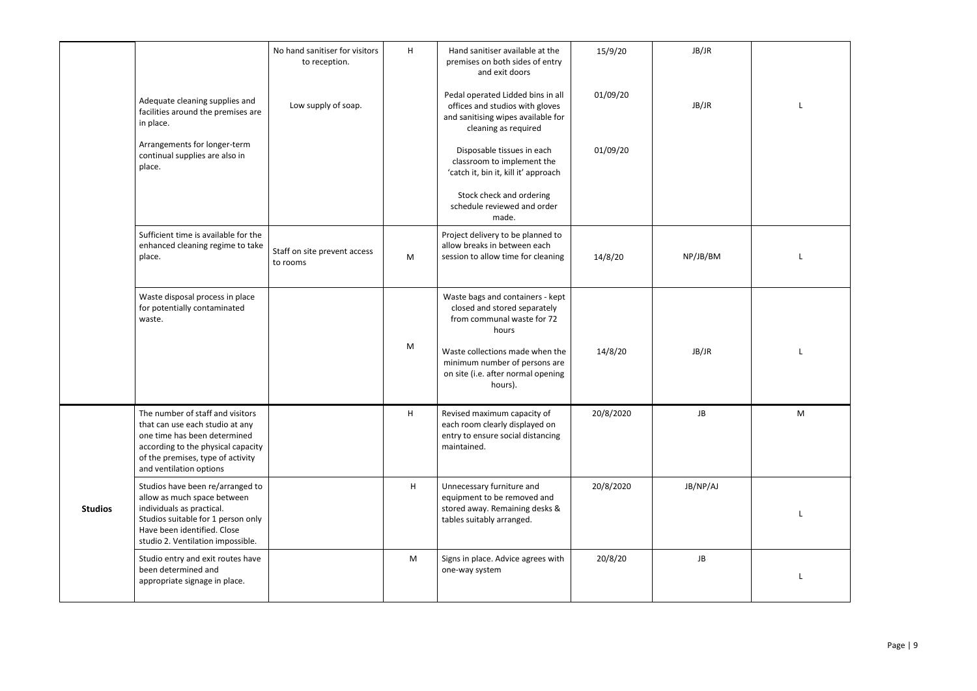| JB/JR<br>No hand sanitiser for visitors<br>Hand sanitiser available at the<br>H<br>15/9/20<br>premises on both sides of entry<br>to reception.<br>and exit doors<br>Pedal operated Lidded bins in all<br>01/09/20<br>Adequate cleaning supplies and<br>JB/JR<br>Low supply of soap.<br>offices and studios with gloves<br>facilities around the premises are<br>and sanitising wipes available for<br>in place.<br>cleaning as required<br>Arrangements for longer-term<br>01/09/20<br>Disposable tissues in each<br>continual supplies are also in |   |
|-----------------------------------------------------------------------------------------------------------------------------------------------------------------------------------------------------------------------------------------------------------------------------------------------------------------------------------------------------------------------------------------------------------------------------------------------------------------------------------------------------------------------------------------------------|---|
|                                                                                                                                                                                                                                                                                                                                                                                                                                                                                                                                                     |   |
|                                                                                                                                                                                                                                                                                                                                                                                                                                                                                                                                                     |   |
| classroom to implement the<br>place.<br>'catch it, bin it, kill it' approach                                                                                                                                                                                                                                                                                                                                                                                                                                                                        |   |
| Stock check and ordering<br>schedule reviewed and order<br>made.                                                                                                                                                                                                                                                                                                                                                                                                                                                                                    |   |
| Project delivery to be planned to<br>Sufficient time is available for the<br>allow breaks in between each<br>enhanced cleaning regime to take<br>Staff on site prevent access<br>14/8/20<br>NP/JB/BM<br>M<br>session to allow time for cleaning<br>place.<br>to rooms                                                                                                                                                                                                                                                                               |   |
| Waste disposal process in place<br>Waste bags and containers - kept<br>for potentially contaminated<br>closed and stored separately<br>from communal waste for 72<br>waste.<br>hours                                                                                                                                                                                                                                                                                                                                                                |   |
| M<br>Waste collections made when the<br>JB/JR<br>14/8/20<br>minimum number of persons are<br>on site (i.e. after normal opening<br>hours).                                                                                                                                                                                                                                                                                                                                                                                                          |   |
| H<br>The number of staff and visitors<br>20/8/2020<br><b>JB</b><br>Revised maximum capacity of<br>each room clearly displayed on<br>that can use each studio at any<br>one time has been determined<br>entry to ensure social distancing<br>according to the physical capacity<br>maintained.<br>of the premises, type of activity<br>and ventilation options                                                                                                                                                                                       | M |
| Studios have been re/arranged to<br>20/8/2020<br>JB/NP/AJ<br>H.<br>Unnecessary furniture and<br>allow as much space between<br>equipment to be removed and<br>individuals as practical.<br>stored away. Remaining desks &<br><b>Studios</b><br>Studios suitable for 1 person only<br>tables suitably arranged.<br>Have been identified. Close<br>studio 2. Ventilation impossible.                                                                                                                                                                  |   |
| 20/8/20<br><b>JB</b><br>Studio entry and exit routes have<br>M<br>Signs in place. Advice agrees with<br>been determined and<br>one-way system<br>appropriate signage in place.                                                                                                                                                                                                                                                                                                                                                                      |   |

| JB/JR  |                |
|--------|----------------|
| JB/JR  | L              |
|        |                |
|        |                |
| /JB/BM | L              |
|        |                |
| JB/JR  | L              |
| JB     | $\overline{M}$ |
|        |                |
| /NP/AJ |                |
|        | L              |
| JB     | L              |
|        |                |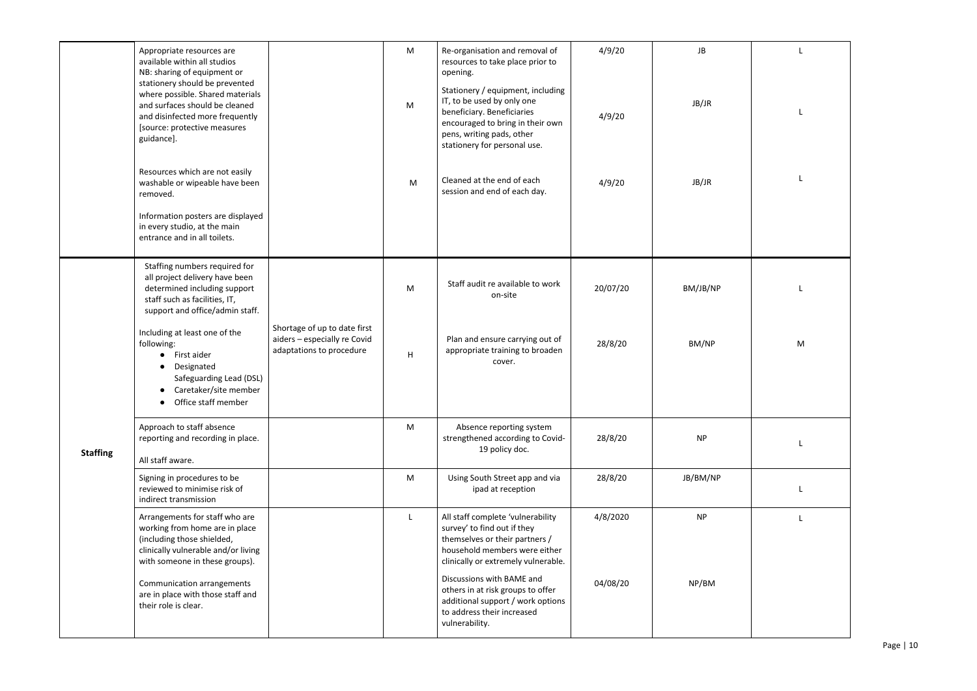<span id="page-9-0"></span>

|                 | Appropriate resources are<br>available within all studios<br>NB: sharing of equipment or<br>stationery should be prevented<br>where possible. Shared materials<br>and surfaces should be cleaned<br>and disinfected more frequently<br>[source: protective measures<br>guidance].<br>Resources which are not easily<br>washable or wipeable have been<br>removed.<br>Information posters are displayed<br>in every studio, at the main<br>entrance and in all toilets. |                                                                                          | M<br>M<br>M | Re-organisation and removal of<br>resources to take place prior to<br>opening.<br>Stationery / equipment, including<br>IT, to be used by only one<br>beneficiary. Beneficiaries<br>encouraged to bring in their own<br>pens, writing pads, other<br>stationery for personal use.<br>Cleaned at the end of each<br>session and end of each day. | 4/9/20<br>4/9/20<br>4/9/20 | JB<br>JB/JR<br>JB/JR |
|-----------------|------------------------------------------------------------------------------------------------------------------------------------------------------------------------------------------------------------------------------------------------------------------------------------------------------------------------------------------------------------------------------------------------------------------------------------------------------------------------|------------------------------------------------------------------------------------------|-------------|------------------------------------------------------------------------------------------------------------------------------------------------------------------------------------------------------------------------------------------------------------------------------------------------------------------------------------------------|----------------------------|----------------------|
|                 | Staffing numbers required for<br>all project delivery have been<br>determined including support<br>staff such as facilities, IT,<br>support and office/admin staff.<br>Including at least one of the<br>following:<br>First aider<br>$\bullet$<br>Designated<br>$\bullet$<br>Safeguarding Lead (DSL)<br>Caretaker/site member<br>Office staff member<br>$\bullet$                                                                                                      | Shortage of up to date first<br>aiders - especially re Covid<br>adaptations to procedure | M<br>H      | Staff audit re available to work<br>on-site<br>Plan and ensure carrying out of<br>appropriate training to broaden<br>cover.                                                                                                                                                                                                                    | 20/07/20<br>28/8/20        | BM/JB/NP<br>BM/NP    |
| <b>Staffing</b> | Approach to staff absence<br>reporting and recording in place.<br>All staff aware.                                                                                                                                                                                                                                                                                                                                                                                     |                                                                                          | M           | Absence reporting system<br>strengthened according to Covid-<br>19 policy doc.                                                                                                                                                                                                                                                                 | 28/8/20                    | <b>NP</b>            |
|                 | Signing in procedures to be<br>reviewed to minimise risk of<br>indirect transmission                                                                                                                                                                                                                                                                                                                                                                                   |                                                                                          | M           | Using South Street app and via<br>ipad at reception                                                                                                                                                                                                                                                                                            | 28/8/20                    | JB/BM/NP             |
|                 | Arrangements for staff who are<br>working from home are in place<br>(including those shielded,<br>clinically vulnerable and/or living<br>with someone in these groups).<br><b>Communication arrangements</b><br>are in place with those staff and<br>their role is clear.                                                                                                                                                                                              |                                                                                          | L           | All staff complete 'vulnerability<br>survey' to find out if they<br>themselves or their partners /<br>household members were either<br>clinically or extremely vulnerable.<br>Discussions with BAME and<br>others in at risk groups to offer<br>additional support / work options<br>to address their increased<br>vulnerability.              | 4/8/2020<br>04/08/20       | <b>NP</b><br>NP/BM   |
|                 |                                                                                                                                                                                                                                                                                                                                                                                                                                                                        |                                                                                          |             |                                                                                                                                                                                                                                                                                                                                                |                            |                      |

| L |
|---|
|   |
| L |
|   |
|   |
| L |
|   |
|   |
|   |
| L |
|   |
| M |
|   |
|   |
|   |
|   |
| L |
|   |
| L |
| L |
|   |
|   |
|   |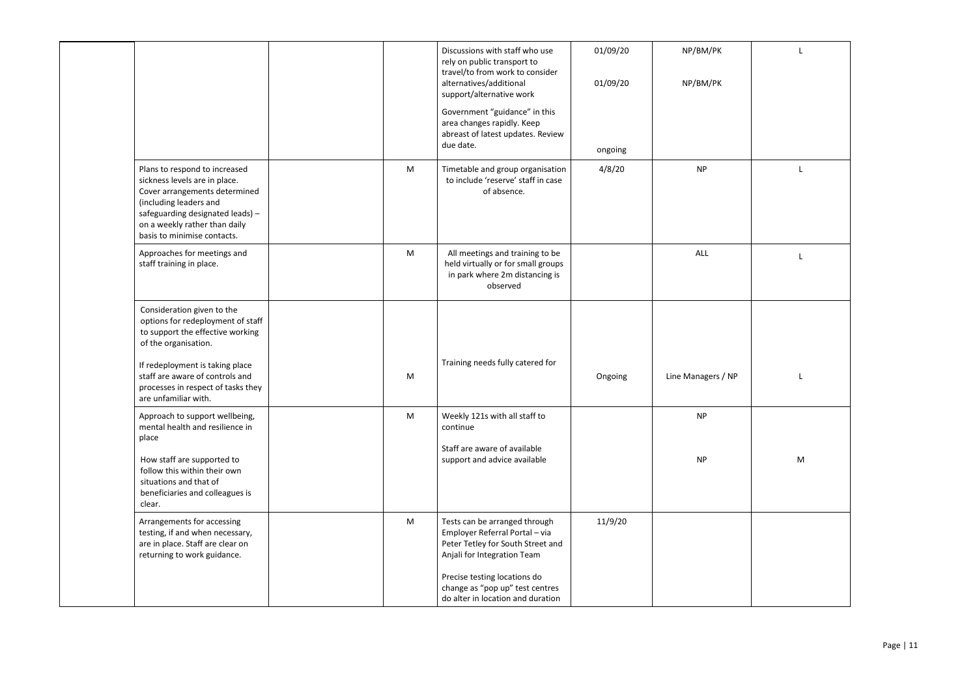|                                                                                                                                                                                                                               |   | Discussions with staff who use<br>rely on public transport to<br>travel/to from work to consider<br>alternatives/additional<br>support/alternative work | 01/09/20<br>01/09/20 | NP/BM/PK<br>NP/BM/PK |   |
|-------------------------------------------------------------------------------------------------------------------------------------------------------------------------------------------------------------------------------|---|---------------------------------------------------------------------------------------------------------------------------------------------------------|----------------------|----------------------|---|
|                                                                                                                                                                                                                               |   | Government "guidance" in this<br>area changes rapidly. Keep<br>abreast of latest updates. Review<br>due date.                                           | ongoing              |                      |   |
| Plans to respond to increased<br>sickness levels are in place.<br>Cover arrangements determined<br>(including leaders and<br>safeguarding designated leads) -<br>on a weekly rather than daily<br>basis to minimise contacts. | M | Timetable and group organisation<br>to include 'reserve' staff in case<br>of absence.                                                                   | 4/8/20               | <b>NP</b>            |   |
| Approaches for meetings and<br>staff training in place.                                                                                                                                                                       | M | All meetings and training to be<br>held virtually or for small groups<br>in park where 2m distancing is<br>observed                                     |                      | ALL                  |   |
| Consideration given to the<br>options for redeployment of staff<br>to support the effective working<br>of the organisation.                                                                                                   |   |                                                                                                                                                         |                      |                      |   |
| If redeployment is taking place<br>staff are aware of controls and<br>processes in respect of tasks they<br>are unfamiliar with.                                                                                              | M | Training needs fully catered for                                                                                                                        | Ongoing              | Line Managers / NP   |   |
| Approach to support wellbeing,<br>mental health and resilience in<br>place                                                                                                                                                    | M | Weekly 121s with all staff to<br>continue                                                                                                               |                      | <b>NP</b>            |   |
| How staff are supported to<br>follow this within their own<br>situations and that of<br>beneficiaries and colleagues is<br>clear.                                                                                             |   | Staff are aware of available<br>support and advice available                                                                                            |                      | <b>NP</b>            | M |
| Arrangements for accessing<br>testing, if and when necessary,<br>are in place. Staff are clear on<br>returning to work guidance.                                                                                              | M | Tests can be arranged through<br>Employer Referral Portal - via<br>Peter Tetley for South Street and<br>Anjali for Integration Team                     | 11/9/20              |                      |   |
|                                                                                                                                                                                                                               |   | Precise testing locations do<br>change as "pop up" test centres<br>do alter in location and duration                                                    |                      |                      |   |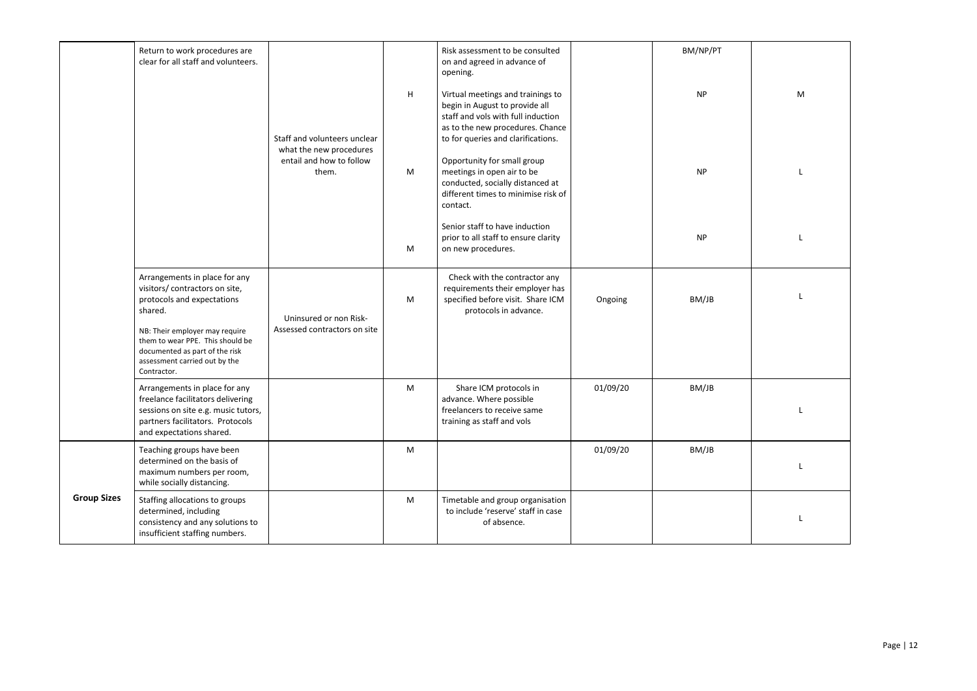<span id="page-11-0"></span>

|                    | Return to work procedures are<br>clear for all staff and volunteers.                                                                                                                                                                                             |                                                                                              |   | Risk assessment to be consulted<br>on and agreed in advance of<br>opening.                                                                                                          |          | BM/NP/PT  |  |
|--------------------|------------------------------------------------------------------------------------------------------------------------------------------------------------------------------------------------------------------------------------------------------------------|----------------------------------------------------------------------------------------------|---|-------------------------------------------------------------------------------------------------------------------------------------------------------------------------------------|----------|-----------|--|
|                    |                                                                                                                                                                                                                                                                  | Staff and volunteers unclear<br>what the new procedures<br>entail and how to follow<br>them. | H | Virtual meetings and trainings to<br>begin in August to provide all<br>staff and vols with full induction<br>as to the new procedures. Chance<br>to for queries and clarifications. |          | <b>NP</b> |  |
|                    |                                                                                                                                                                                                                                                                  |                                                                                              | M | Opportunity for small group<br>meetings in open air to be<br>conducted, socially distanced at<br>different times to minimise risk of<br>contact.                                    |          | <b>NP</b> |  |
|                    |                                                                                                                                                                                                                                                                  |                                                                                              | M | Senior staff to have induction<br>prior to all staff to ensure clarity<br>on new procedures.                                                                                        |          | <b>NP</b> |  |
|                    | Arrangements in place for any<br>visitors/ contractors on site,<br>protocols and expectations<br>shared.<br>NB: Their employer may require<br>them to wear PPE. This should be<br>documented as part of the risk<br>assessment carried out by the<br>Contractor. | Uninsured or non Risk-<br>Assessed contractors on site                                       | M | Check with the contractor any<br>requirements their employer has<br>specified before visit. Share ICM<br>protocols in advance.                                                      | Ongoing  | BM/JB     |  |
|                    | Arrangements in place for any<br>freelance facilitators delivering<br>sessions on site e.g. music tutors,<br>partners facilitators. Protocols<br>and expectations shared.                                                                                        |                                                                                              | M | Share ICM protocols in<br>advance. Where possible<br>freelancers to receive same<br>training as staff and vols                                                                      | 01/09/20 | BM/JB     |  |
|                    | Teaching groups have been<br>determined on the basis of<br>maximum numbers per room,<br>while socially distancing.                                                                                                                                               |                                                                                              | M |                                                                                                                                                                                     | 01/09/20 | BM/JB     |  |
| <b>Group Sizes</b> | Staffing allocations to groups<br>determined, including<br>consistency and any solutions to<br>insufficient staffing numbers.                                                                                                                                    |                                                                                              | M | Timetable and group organisation<br>to include 'reserve' staff in case<br>of absence.                                                                                               |          |           |  |
|                    |                                                                                                                                                                                                                                                                  |                                                                                              |   |                                                                                                                                                                                     |          |           |  |

| M |
|---|
| L |
| L |
| L |
|   |
| L |
| L |
| L |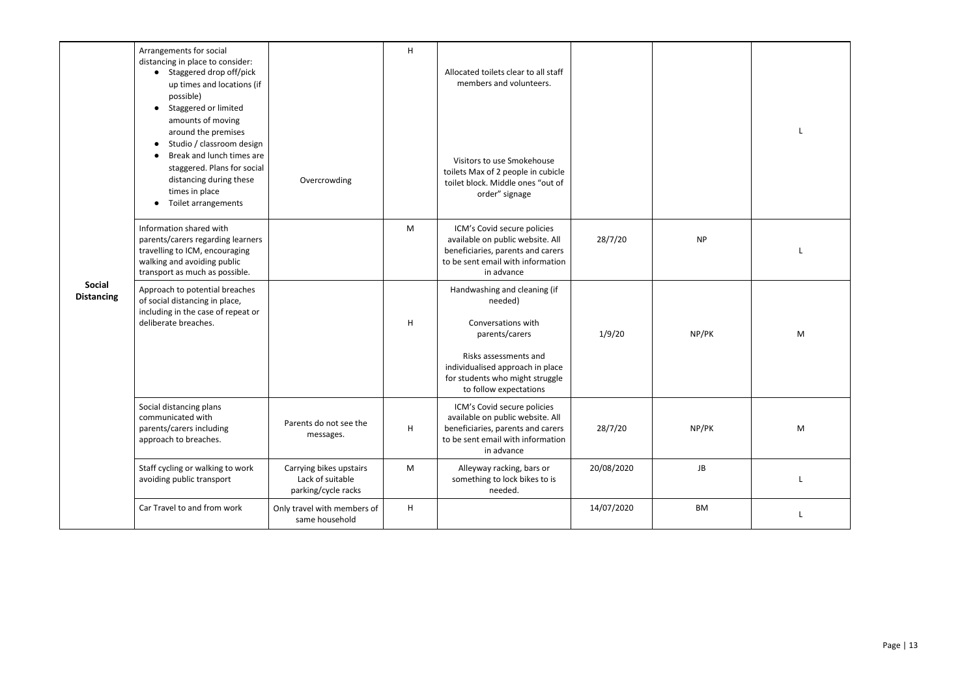<span id="page-12-0"></span>

| <b>Social</b><br><b>Distancing</b> | Arrangements for social<br>distancing in place to consider:<br>• Staggered drop off/pick<br>up times and locations (if<br>possible)<br>Staggered or limited<br>$\bullet$<br>amounts of moving<br>around the premises<br>Studio / classroom design<br>$\bullet$<br>Break and lunch times are<br>staggered. Plans for social<br>distancing during these<br>times in place<br>Toilet arrangements<br>$\bullet$ | Overcrowding                                                       | Η | Allocated toilets clear to all staff<br>members and volunteers.<br>Visitors to use Smokehouse<br>toilets Max of 2 people in cubicle<br>toilet block. Middle ones "out of<br>order" signage                |            |           |   |
|------------------------------------|-------------------------------------------------------------------------------------------------------------------------------------------------------------------------------------------------------------------------------------------------------------------------------------------------------------------------------------------------------------------------------------------------------------|--------------------------------------------------------------------|---|-----------------------------------------------------------------------------------------------------------------------------------------------------------------------------------------------------------|------------|-----------|---|
|                                    | Information shared with<br>parents/carers regarding learners<br>travelling to ICM, encouraging<br>walking and avoiding public<br>transport as much as possible.                                                                                                                                                                                                                                             |                                                                    | M | ICM's Covid secure policies<br>available on public website. All<br>beneficiaries, parents and carers<br>to be sent email with information<br>in advance                                                   | 28/7/20    | <b>NP</b> |   |
|                                    | Approach to potential breaches<br>of social distancing in place,<br>including in the case of repeat or<br>deliberate breaches.                                                                                                                                                                                                                                                                              |                                                                    | H | Handwashing and cleaning (if<br>needed)<br>Conversations with<br>parents/carers<br>Risks assessments and<br>individualised approach in place<br>for students who might struggle<br>to follow expectations | 1/9/20     | NP/PK     | M |
|                                    | Social distancing plans<br>communicated with<br>parents/carers including<br>approach to breaches.                                                                                                                                                                                                                                                                                                           | Parents do not see the<br>messages.                                | H | ICM's Covid secure policies<br>available on public website. All<br>beneficiaries, parents and carers<br>to be sent email with information<br>in advance                                                   | 28/7/20    | NP/PK     | M |
|                                    | Staff cycling or walking to work<br>avoiding public transport                                                                                                                                                                                                                                                                                                                                               | Carrying bikes upstairs<br>Lack of suitable<br>parking/cycle racks | M | Alleyway racking, bars or<br>something to lock bikes to is<br>needed.                                                                                                                                     | 20/08/2020 | JB        |   |
|                                    | Car Travel to and from work                                                                                                                                                                                                                                                                                                                                                                                 | Only travel with members of<br>same household                      | H |                                                                                                                                                                                                           | 14/07/2020 | <b>BM</b> |   |

| L |
|---|
| L |
| M |
| M |
| L |
| L |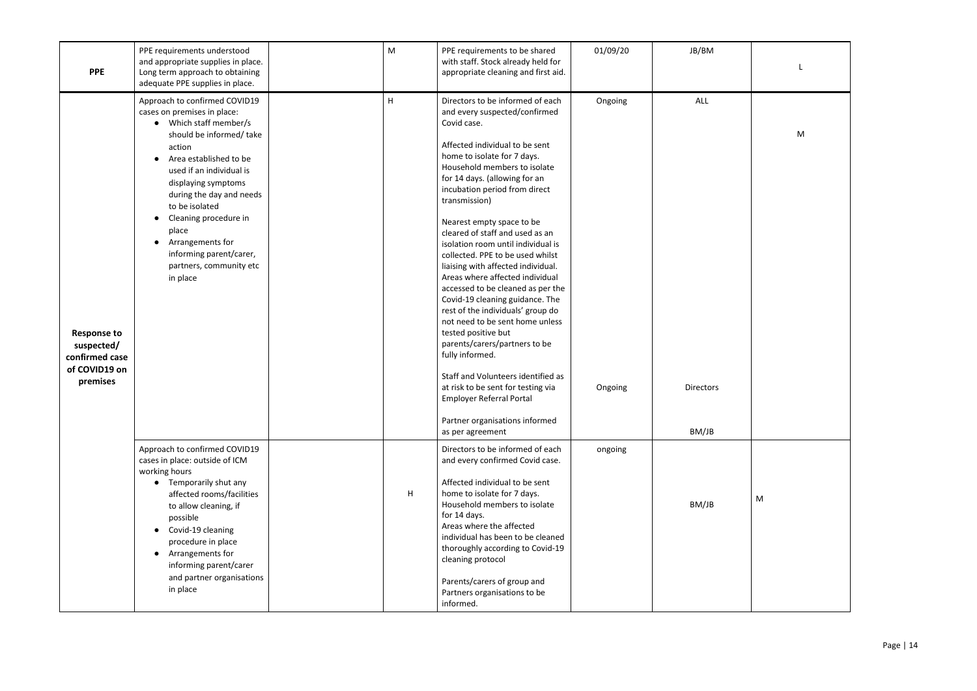| <b>PPE</b>                                                                      | PPE requirements understood<br>and appropriate supplies in place.<br>Long term approach to obtaining<br>adequate PPE supplies in place.                                                                                                                                                                                                                                         | M | PPE requirements to be shared<br>with staff. Stock already held for<br>appropriate cleaning and first aid.                                                                                                                                                                                                                                                                                                                                                                                                                                                                                                                                                                                                                                                                                                                                                                              | 01/09/20           | JB/BM                            |
|---------------------------------------------------------------------------------|---------------------------------------------------------------------------------------------------------------------------------------------------------------------------------------------------------------------------------------------------------------------------------------------------------------------------------------------------------------------------------|---|-----------------------------------------------------------------------------------------------------------------------------------------------------------------------------------------------------------------------------------------------------------------------------------------------------------------------------------------------------------------------------------------------------------------------------------------------------------------------------------------------------------------------------------------------------------------------------------------------------------------------------------------------------------------------------------------------------------------------------------------------------------------------------------------------------------------------------------------------------------------------------------------|--------------------|----------------------------------|
| <b>Response to</b><br>suspected/<br>confirmed case<br>of COVID19 on<br>premises | Approach to confirmed COVID19<br>cases on premises in place:<br>• Which staff member/s<br>should be informed/ take<br>action<br>Area established to be<br>used if an individual is<br>displaying symptoms<br>during the day and needs<br>to be isolated<br>Cleaning procedure in<br>place<br>Arrangements for<br>informing parent/carer,<br>partners, community etc<br>in place | H | Directors to be informed of each<br>and every suspected/confirmed<br>Covid case.<br>Affected individual to be sent<br>home to isolate for 7 days.<br>Household members to isolate<br>for 14 days. (allowing for an<br>incubation period from direct<br>transmission)<br>Nearest empty space to be<br>cleared of staff and used as an<br>isolation room until individual is<br>collected. PPE to be used whilst<br>liaising with affected individual.<br>Areas where affected individual<br>accessed to be cleaned as per the<br>Covid-19 cleaning guidance. The<br>rest of the individuals' group do<br>not need to be sent home unless<br>tested positive but<br>parents/carers/partners to be<br>fully informed.<br>Staff and Volunteers identified as<br>at risk to be sent for testing via<br><b>Employer Referral Portal</b><br>Partner organisations informed<br>as per agreement | Ongoing<br>Ongoing | ALL<br><b>Directors</b><br>BM/JB |
|                                                                                 | Approach to confirmed COVID19<br>cases in place: outside of ICM<br>working hours<br>• Temporarily shut any<br>affected rooms/facilities<br>to allow cleaning, if<br>possible<br>Covid-19 cleaning<br>procedure in place<br>Arrangements for<br>$\bullet$<br>informing parent/carer<br>and partner organisations<br>in place                                                     | H | Directors to be informed of each<br>and every confirmed Covid case.<br>Affected individual to be sent<br>home to isolate for 7 days.<br>Household members to isolate<br>for 14 days.<br>Areas where the affected<br>individual has been to be cleaned<br>thoroughly according to Covid-19<br>cleaning protocol<br>Parents/carers of group and<br>Partners organisations to be<br>informed.                                                                                                                                                                                                                                                                                                                                                                                                                                                                                              | ongoing            | BM/JB                            |

| L |
|---|
| M |
|   |
|   |
|   |
|   |
| M |
|   |
|   |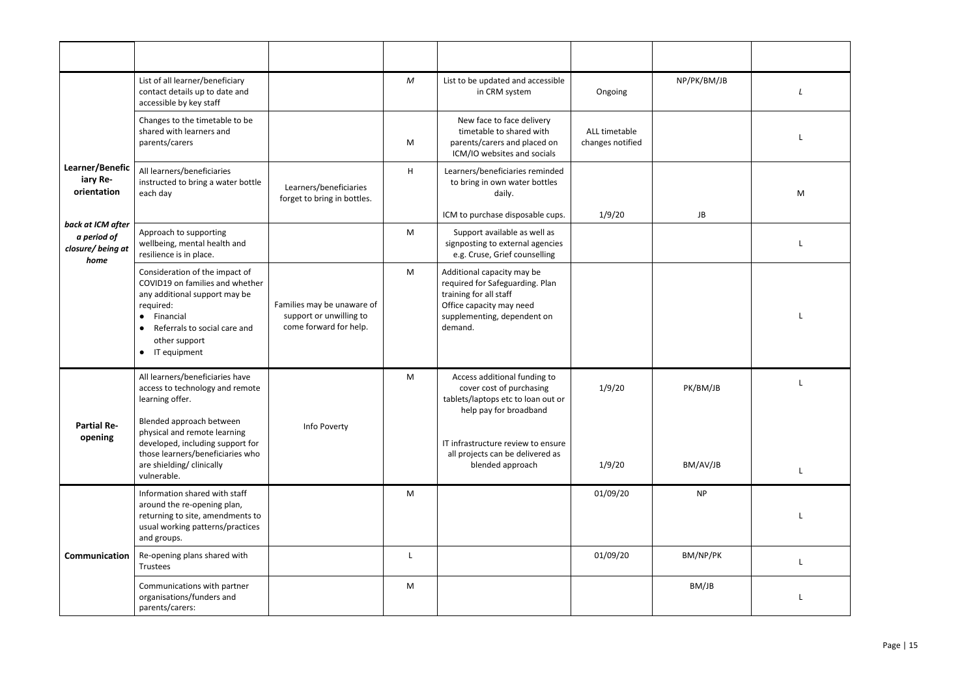<span id="page-14-2"></span><span id="page-14-1"></span><span id="page-14-0"></span>

|                                            | List of all learner/beneficiary<br>contact details up to date and<br>accessible by key staff                                                                                                                              |                                                                                 | M  | List to be updated and accessible<br>in CRM system                                                                                                            | Ongoing                           | NP/PK/BM/JB |   |
|--------------------------------------------|---------------------------------------------------------------------------------------------------------------------------------------------------------------------------------------------------------------------------|---------------------------------------------------------------------------------|----|---------------------------------------------------------------------------------------------------------------------------------------------------------------|-----------------------------------|-------------|---|
|                                            | Changes to the timetable to be<br>shared with learners and<br>parents/carers                                                                                                                                              |                                                                                 | M  | New face to face delivery<br>timetable to shared with<br>parents/carers and placed on<br>ICM/IO websites and socials                                          | ALL timetable<br>changes notified |             |   |
| Learner/Benefic<br>iary Re-<br>orientation | All learners/beneficiaries<br>instructed to bring a water bottle<br>each day                                                                                                                                              | Learners/beneficiaries<br>forget to bring in bottles.                           | Н. | Learners/beneficiaries reminded<br>to bring in own water bottles<br>daily.                                                                                    |                                   |             | M |
| back at ICM after                          |                                                                                                                                                                                                                           |                                                                                 |    | ICM to purchase disposable cups.                                                                                                                              | 1/9/20                            | JB          |   |
| a period of<br>closure/being at<br>home    | Approach to supporting<br>wellbeing, mental health and<br>resilience is in place.                                                                                                                                         |                                                                                 | M  | Support available as well as<br>signposting to external agencies<br>e.g. Cruse, Grief counselling                                                             |                                   |             |   |
|                                            | Consideration of the impact of<br>COVID19 on families and whether<br>any additional support may be<br>required:<br>Financial<br>$\bullet$<br>Referrals to social care and<br>$\bullet$<br>other support<br>• IT equipment | Families may be unaware of<br>support or unwilling to<br>come forward for help. | M  | Additional capacity may be<br>required for Safeguarding. Plan<br>training for all staff<br>Office capacity may need<br>supplementing, dependent on<br>demand. |                                   |             |   |
| <b>Partial Re-</b>                         | All learners/beneficiaries have<br>access to technology and remote<br>learning offer.<br>Blended approach between<br>physical and remote learning                                                                         | Info Poverty                                                                    | M  | Access additional funding to<br>cover cost of purchasing<br>tablets/laptops etc to loan out or<br>help pay for broadband                                      | 1/9/20                            | PK/BM/JB    |   |
| opening                                    | developed, including support for<br>those learners/beneficiaries who<br>are shielding/ clinically<br>vulnerable.                                                                                                          |                                                                                 |    | IT infrastructure review to ensure<br>all projects can be delivered as<br>blended approach                                                                    | 1/9/20                            | BM/AV/JB    |   |
|                                            | Information shared with staff<br>around the re-opening plan,<br>returning to site, amendments to<br>usual working patterns/practices<br>and groups.                                                                       |                                                                                 | M  |                                                                                                                                                               | 01/09/20                          | <b>NP</b>   |   |
| Communication                              | Re-opening plans shared with<br>Trustees                                                                                                                                                                                  |                                                                                 |    |                                                                                                                                                               | 01/09/20                          | BM/NP/PK    |   |
|                                            | Communications with partner<br>organisations/funders and<br>parents/carers:                                                                                                                                               |                                                                                 | M  |                                                                                                                                                               |                                   | BM/JB       |   |